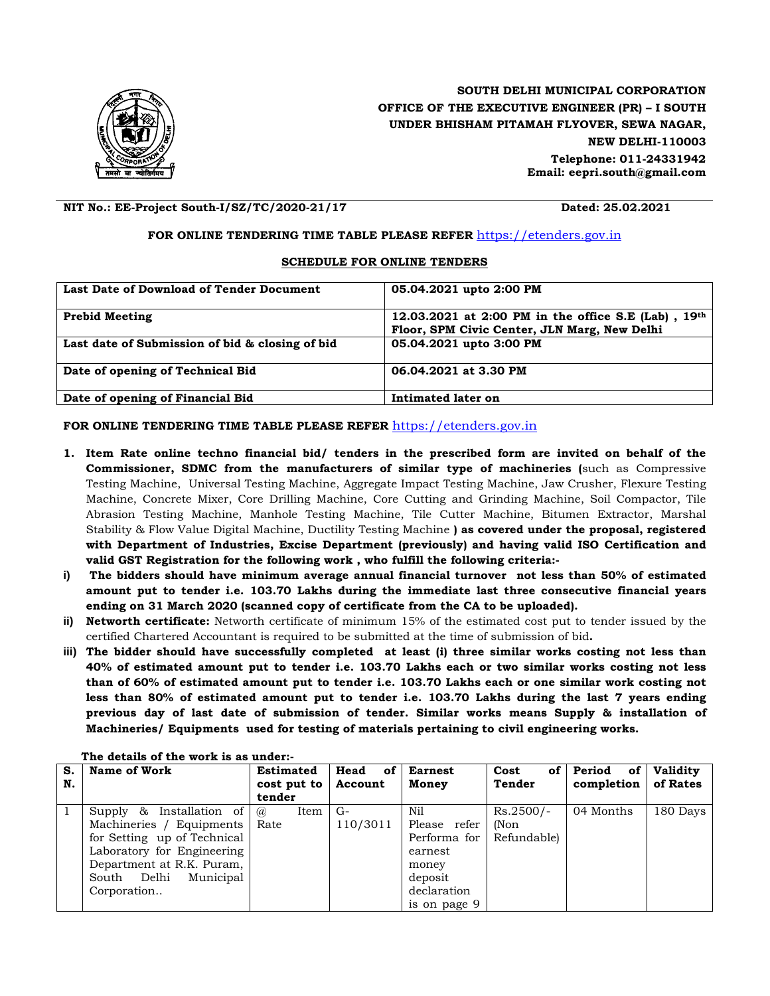

## **SOUTH DELHI MUNICIPAL CORPORATION OFFICE OF THE EXECUTIVE ENGINEER (PR) – I SOUTH UNDER BHISHAM PITAMAH FLYOVER, SEWA NAGAR, NEW DELHI-110003 Telephone: 011-24331942 Email: eepri.south@gmail.com**

**NIT No.: EE-Project South-I/SZ/TC/2020-21/17 Dated: 25.02.2021**

## **FOR ONLINE TENDERING TIME TABLE PLEASE REFER** [https://etenders.gov.in](https://etenders.gov.in/eprocure)

## **SCHEDULE FOR ONLINE TENDERS**

| Last Date of Download of Tender Document        | 05.04.2021 upto 2:00 PM                                                                               |
|-------------------------------------------------|-------------------------------------------------------------------------------------------------------|
| <b>Prebid Meeting</b>                           | 12.03.2021 at 2:00 PM in the office S.E (Lab), $19th$<br>Floor, SPM Civic Center, JLN Marg, New Delhi |
| Last date of Submission of bid & closing of bid | 05.04.2021 upto 3:00 PM                                                                               |
| Date of opening of Technical Bid                | 06.04.2021 at 3.30 PM                                                                                 |
| Date of opening of Financial Bid                | Intimated later on                                                                                    |

## **FOR ONLINE TENDERING TIME TABLE PLEASE REFER** [https://etenders.gov.in](https://etenders.gov.in/eprocure)

- **1. Item Rate online techno financial bid/ tenders in the prescribed form are invited on behalf of the Commissioner, SDMC from the manufacturers of similar type of machineries (**such as Compressive Testing Machine, Universal Testing Machine, Aggregate Impact Testing Machine, Jaw Crusher, Flexure Testing Machine, Concrete Mixer, Core Drilling Machine, Core Cutting and Grinding Machine, Soil Compactor, Tile Abrasion Testing Machine, Manhole Testing Machine, Tile Cutter Machine, Bitumen Extractor, Marshal Stability & Flow Value Digital Machine, Ductility Testing Machine **) as covered under the proposal, registered with Department of Industries, Excise Department (previously) and having valid ISO Certification and valid GST Registration for the following work , who fulfill the following criteria:-**
- **i) The bidders should have minimum average annual financial turnover not less than 50% of estimated amount put to tender i.e. 103.70 Lakhs during the immediate last three consecutive financial years ending on 31 March 2020 (scanned copy of certificate from the CA to be uploaded).**
- **ii) Networth certificate:** Networth certificate of minimum 15% of the estimated cost put to tender issued by the certified Chartered Accountant is required to be submitted at the time of submission of bid**.**
- **iii) The bidder should have successfully completed at least (i) three similar works costing not less than 40% of estimated amount put to tender i.e. 103.70 Lakhs each or two similar works costing not less than of 60% of estimated amount put to tender i.e. 103.70 Lakhs each or one similar work costing not less than 80% of estimated amount put to tender i.e. 103.70 Lakhs during the last 7 years ending previous day of last date of submission of tender. Similar works means Supply & installation of Machineries/ Equipments used for testing of materials pertaining to civil engineering works.**

| S. | Name of Work                | <b>Estimated</b> | Head<br>of | <b>Earnest</b> | Cost<br>of  | Period of  | Validity |
|----|-----------------------------|------------------|------------|----------------|-------------|------------|----------|
| N. |                             | cost put to      | Account    | Money          | Tender      | completion | of Rates |
|    |                             | tender           |            |                |             |            |          |
|    | Supply & Installation of    | Item<br>(a)      | $G-$       | Nil            | $Rs.2500/-$ | 04 Months  | 180 Days |
|    | Machineries / Equipments    | Rate             | 110/3011   | Please refer   | (Non        |            |          |
|    | for Setting up of Technical |                  |            | Performa for   | Refundable) |            |          |
|    | Laboratory for Engineering  |                  |            | earnest        |             |            |          |
|    | Department at R.K. Puram,   |                  |            | money          |             |            |          |
|    | Municipal<br>South Delhi    |                  |            | deposit        |             |            |          |
|    | Corporation                 |                  |            | declaration    |             |            |          |
|    |                             |                  |            | is on page 9   |             |            |          |

**The details of the work is as under:-**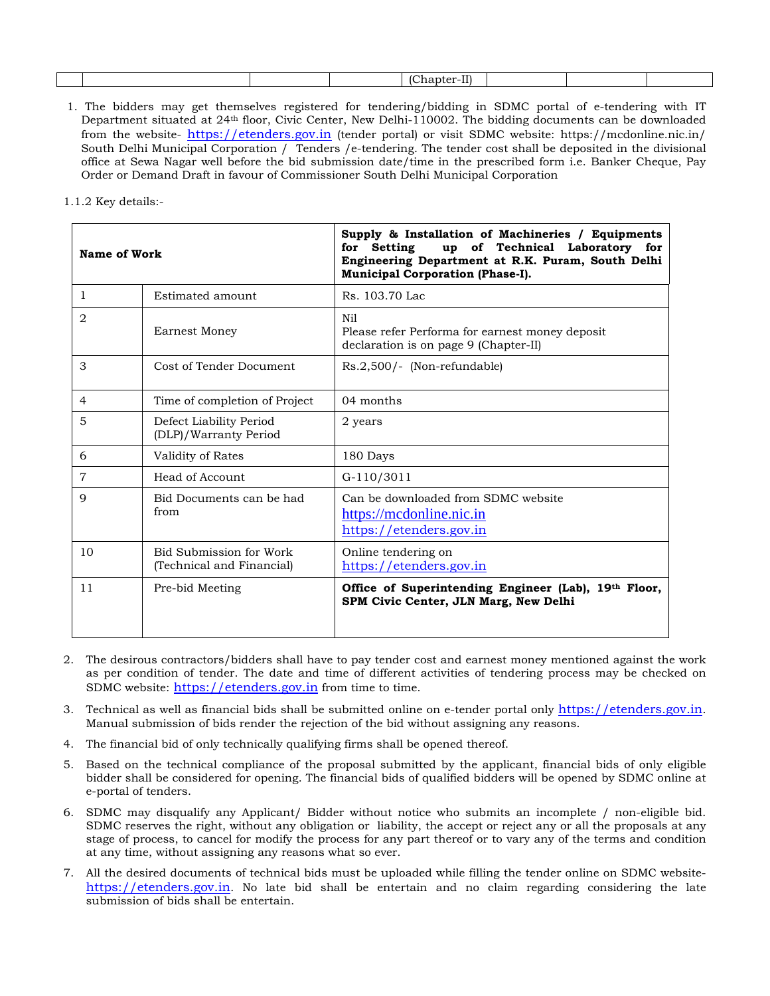|  |  |  |  | - -<br>$\sim$<br>.<br><br>and the state of the state of the |  |  |  |
|--|--|--|--|-------------------------------------------------------------|--|--|--|
|--|--|--|--|-------------------------------------------------------------|--|--|--|

1. The bidders may get themselves registered for tendering/bidding in SDMC portal of e-tendering with IT Department situated at 24th floor, Civic Center, New Delhi-110002. The bidding documents can be downloaded from the website- [https://etenders.gov.in](https://etenders.gov.in/eprocure) (tender portal) or visit SDMC website: https://mcdonline.nic.in/ South Delhi Municipal Corporation / Tenders / e-tendering. The tender cost shall be deposited in the divisional office at Sewa Nagar well before the bid submission date/time in the prescribed form i.e. Banker Cheque, Pay Order or Demand Draft in favour of Commissioner South Delhi Municipal Corporation

1.1.2 Key details:-

| Name of Work   |                                                      | Supply & Installation of Machineries / Equipments<br>up of Technical Laboratory for<br>Setting<br>for<br>Engineering Department at R.K. Puram, South Delhi<br><b>Municipal Corporation (Phase-I).</b> |  |  |  |
|----------------|------------------------------------------------------|-------------------------------------------------------------------------------------------------------------------------------------------------------------------------------------------------------|--|--|--|
| $\mathbf{1}$   | Estimated amount                                     | Rs. 103.70 Lac.                                                                                                                                                                                       |  |  |  |
| 2              | <b>Earnest Money</b>                                 | Nil<br>Please refer Performa for earnest money deposit<br>declaration is on page 9 (Chapter-II)                                                                                                       |  |  |  |
| 3              | Cost of Tender Document                              | Rs.2,500/- (Non-refundable)                                                                                                                                                                           |  |  |  |
| 4              | Time of completion of Project                        | 04 months                                                                                                                                                                                             |  |  |  |
| 5              | Defect Liability Period<br>(DLP)/Warranty Period     | 2 years                                                                                                                                                                                               |  |  |  |
| 6              | Validity of Rates                                    | 180 Days                                                                                                                                                                                              |  |  |  |
| $\overline{7}$ | Head of Account                                      | $G-110/3011$                                                                                                                                                                                          |  |  |  |
| 9              | Bid Documents can be had<br>from                     | Can be downloaded from SDMC website<br>https://mcdonline.nic.in<br>https://etenders.gov.in                                                                                                            |  |  |  |
| 10             | Bid Submission for Work<br>(Technical and Financial) | Online tendering on<br>https://etenders.gov.in                                                                                                                                                        |  |  |  |
| 11             | Pre-bid Meeting                                      | Office of Superintending Engineer (Lab), 19th Floor,<br>SPM Civic Center, JLN Marg, New Delhi                                                                                                         |  |  |  |

- 2. The desirous contractors/bidders shall have to pay tender cost and earnest money mentioned against the work as per condition of tender. The date and time of different activities of tendering process may be checked on SDMC website: [https://etenders.gov.in](https://etenders.gov.in/eprocure) from time to time.
- 3. Technical as well as financial bids shall be submitted online on e-tender portal only [https://etenders.gov.in.](https://etenders.gov.in/eprocure) Manual submission of bids render the rejection of the bid without assigning any reasons.
- 4. The financial bid of only technically qualifying firms shall be opened thereof.
- 5. Based on the technical compliance of the proposal submitted by the applicant, financial bids of only eligible bidder shall be considered for opening. The financial bids of qualified bidders will be opened by SDMC online at e-portal of tenders.
- 6. SDMC may disqualify any Applicant/ Bidder without notice who submits an incomplete / non-eligible bid. SDMC reserves the right, without any obligation or liability, the accept or reject any or all the proposals at any stage of process, to cancel for modify the process for any part thereof or to vary any of the terms and condition at any time, without assigning any reasons what so ever.
- 7. All the desired documents of technical bids must be uploaded while filling the tender online on SDMC website[https://etenders.gov.in.](https://etenders.gov.in/eprocure) No late bid shall be entertain and no claim regarding considering the late submission of bids shall be entertain.